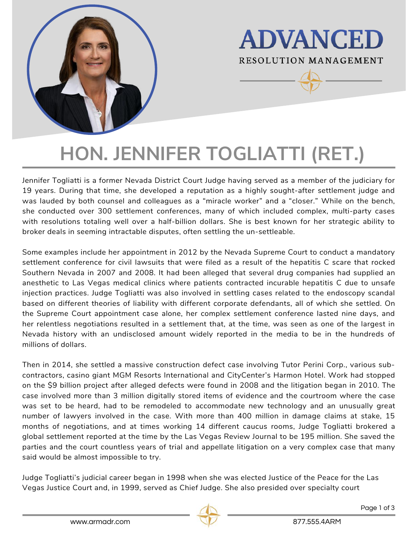



# **HON. JENNIFER TOGLIATTI (RET.)**

Jennifer Togliatti is a former Nevada District Court Judge having served as a member of the judiciary for 19 years. During that time, she developed a reputation as a highly sought-after settlement judge and was lauded by both counsel and colleagues as a "miracle worker" and a "closer." While on the bench, she conducted over 300 settlement conferences, many of which included complex, multi-party cases with resolutions totaling well over a half-billion dollars. She is best known for her strategic ability to broker deals in seeming intractable disputes, often settling the un-settleable.

Some examples include her appointment in 2012 by the Nevada Supreme Court to conduct a mandatory settlement conference for civil lawsuits that were filed as a result of the hepatitis C scare that rocked Southern Nevada in 2007 and 2008. It had been alleged that several drug companies had supplied an anesthetic to Las Vegas medical clinics where patients contracted incurable hepatitis C due to unsafe injection practices. Judge Togliatti was also involved in settling cases related to the endoscopy scandal based on different theories of liability with different corporate defendants, all of which she settled. On the Supreme Court appointment case alone, her complex settlement conference lasted nine days, and her relentless negotiations resulted in a settlement that, at the time, was seen as one of the largest in Nevada history with an undisclosed amount widely reported in the media to be in the hundreds of millions of dollars.

Then in 2014, she settled a massive construction defect case involving Tutor Perini Corp., various subcontractors, casino giant MGM Resorts International and CityCenter's Harmon Hotel. Work had stopped on the \$9 billion project after alleged defects were found in 2008 and the litigation began in 2010. The case involved more than 3 million digitally stored items of evidence and the courtroom where the case was set to be heard, had to be remodeled to accommodate new technology and an unusually great number of lawyers involved in the case. With more than 400 million in damage claims at stake, 15 months of negotiations, and at times working 14 different caucus rooms, Judge Togliatti brokered a global settlement reported at the time by the Las Vegas Review Journal to be 195 million. She saved the parties and the court countless years of trial and appellate litigation on a very complex case that many said would be almost impossible to try.

Judge Togliatti's judicial career began in 1998 when she was elected Justice of the Peace for the Las Vegas Justice Court and, in 1999, served as Chief Judge. She also presided over specialty court



Page 1 of 3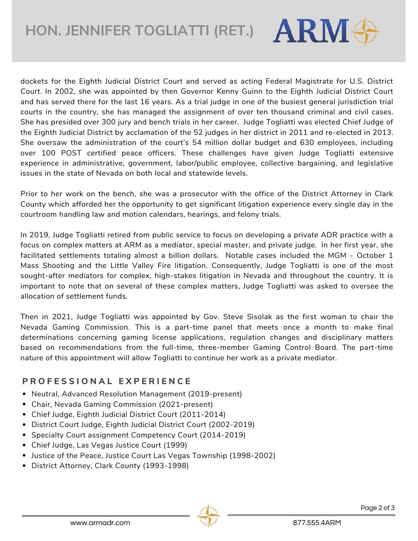**HON. JENNIFER TOGLIATTI (RET.)**

dockets for the Eighth Judicial District Court and served as acting Federal Magistrate for U.S. District Court. In 2002, she was appointed by then Governor Kenny Guinn to the Eighth Judicial District Court and has served there for the last 16 years. As a trial judge in one of the busiest general jurisdiction trial courts in the country, she has managed the assignment of over ten thousand criminal and civil cases. She has presided over 300 jury and bench trials in her career. Judge Togliatti was elected Chief Judge of the Eighth Judicial District by acclamation of the 52 judges in her district in 2011 and re-elected in 2013. She oversaw the administration of the court's 54 million dollar budget and 630 employees, including over 100 POST certified peace officers. These challenges have given Judge Togliatti extensive experience in administrative, government, labor/public employee, collective bargaining, and legislative issues in the state of Nevada on both local and statewide levels.

Prior to her work on the bench, she was a prosecutor with the office of the District Attorney in Clark County which afforded her the opportunity to get significant litigation experience every single day in the courtroom handling law and motion calendars, hearings, and felony trials.

In 2019, Judge Togliatti retired from public service to focus on developing a private ADR practice with a focus on complex matters at ARM as a mediator, special master, and private judge. In her first year, she facilitated settlements totaling almost a billion dollars. Notable cases included the MGM - October 1 Mass Shooting and the Little Valley Fire litigation. Consequently, Judge Togliatti is one of the most sought-after mediators for complex, high-stakes litigation in Nevada and throughout the country. It is important to note that on several of these complex matters, Judge Togliatti was asked to oversee the allocation of settlement funds.

Then in 2021, Judge Togliatti was appointed by Gov. Steve Sisolak as the first woman to chair the Nevada Gaming Commission. This is a part-time panel that meets once a month to make final determinations concerning gaming license applications, regulation changes and disciplinary matters based on recommendations from the full-time, three-member Gaming Control Board. The part-time nature of this appointment will allow Togliatti to continue her work as a private mediator.

#### **P R O F E S S I O N A L E X P E R I E N C E**

- Neutral, Advanced Resolution Management (2019-present)
- Chair, Nevada Gaming Commission (2021-present)
- Chief Judge, Eighth Judicial District Court (2011-2014)
- District Court Judge, Eighth Judicial District Court (2002-2019)
- Specialty Court assignment Competency Court (2014-2019)
- Chief Judge, Las Vegas Justice Court (1999)
- Justice of the Peace, Justice Court Las Vegas Township (1998-2002)
- District Attorney, Clark County (1993-1998)

**ARM**